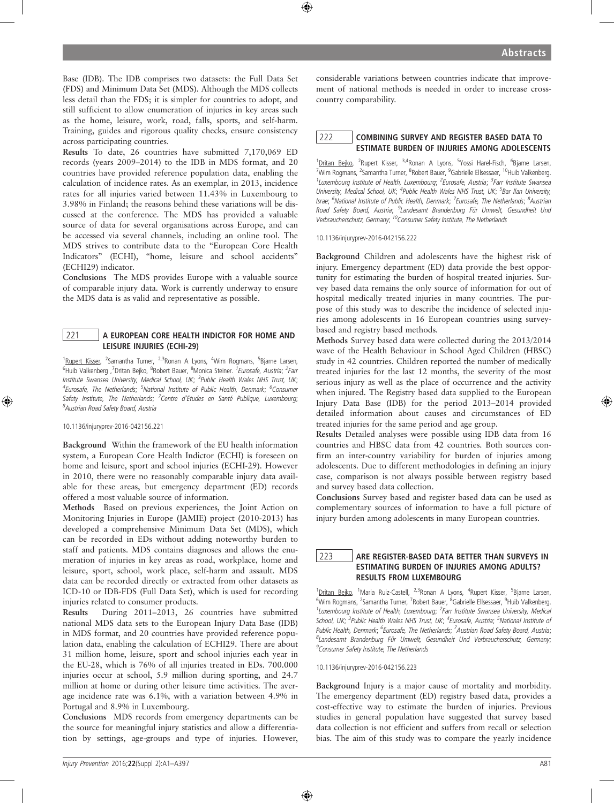Base (IDB). The IDB comprises two datasets: the Full Data Set (FDS) and Minimum Data Set (MDS). Although the MDS collects less detail than the FDS; it is simpler for countries to adopt, and still sufficient to allow enumeration of injuries in key areas such as the home, leisure, work, road, falls, sports, and self-harm. Training, guides and rigorous quality checks, ensure consistency across participating countries.

Results To date, 26 countries have submitted 7,170,069 ED records (years 2009–2014) to the IDB in MDS format, and 20 countries have provided reference population data, enabling the calculation of incidence rates. As an exemplar, in 2013, incidence rates for all injuries varied between 11.43% in Luxembourg to 3.98% in Finland; the reasons behind these variations will be discussed at the conference. The MDS has provided a valuable source of data for several organisations across Europe, and can be accessed via several channels, including an online tool. The MDS strives to contribute data to the "European Core Health Indicators" (ECHI), "home, leisure and school accidents" (ECHI29) indicator.

Conclusions The MDS provides Europe with a valuable source of comparable injury data. Work is currently underway to ensure the MDS data is as valid and representative as possible.

#### 221 A EUROPEAN CORE HEALTH INDICTOR FOR HOME AND LEISURE INJURIES (ECHI-29)

<sup>1</sup>Rupert Kisser, <sup>2</sup>Samantha Turner, <sup>2,3</sup>Ronan A Lyons, <sup>4</sup>Wim Rogmans, <sup>5</sup>Bjarne Larsen, <sup>6</sup>Huib Valkenberg ,<sup>7</sup>Dritan Bejko, <sup>8</sup>Robert Bauer, <sup>8</sup>Monica Steiner. *<sup>1</sup>Eurosafe, Austria; <sup>2</sup>Farr* Institute Swansea University, Medical School, UK; <sup>3</sup>Public Health Wales NHS Trust, UK; <sup>4</sup>Eurosafe, The Netherlands; <sup>5</sup>National Institute of Public Health, Denmark; <sup>6</sup>Consumer Safety Institute, The Netherlands; <sup>7</sup>Centre d'Etudes en Santé Publique, Luxembourg; <sup>8</sup>Austrian Road Safety Board, Austria

10.1136/injuryprev-2016-042156.221

Background Within the framework of the EU health information system, a European Core Health Indictor (ECHI) is foreseen on home and leisure, sport and school injuries (ECHI-29). However in 2010, there were no reasonably comparable injury data available for these areas, but emergency department (ED) records offered a most valuable source of information.

Methods Based on previous experiences, the Joint Action on Monitoring Injuries in Europe (JAMIE) project (2010-2013) has developed a comprehensive Minimum Data Set (MDS), which can be recorded in EDs without adding noteworthy burden to staff and patients. MDS contains diagnoses and allows the enumeration of injuries in key areas as road, workplace, home and leisure, sport, school, work place, self-harm and assault. MDS data can be recorded directly or extracted from other datasets as ICD-10 or IDB-FDS (Full Data Set), which is used for recording injuries related to consumer products.

Results During 2011–2013, 26 countries have submitted national MDS data sets to the European Injury Data Base (IDB) in MDS format, and 20 countries have provided reference population data, enabling the calculation of ECHI29. There are about 31 million home, leisure, sport and school injuries each year in the EU-28, which is 76% of all injuries treated in EDs. 700.000 injuries occur at school, 5.9 million during sporting, and 24.7 million at home or during other leisure time activities. The average incidence rate was 6.1%, with a variation between 4.9% in Portugal and 8.9% in Luxembourg.

Conclusions MDS records from emergency departments can be the source for meaningful injury statistics and allow a differentiation by settings, age-groups and type of injuries. However, considerable variations between countries indicate that improvement of national methods is needed in order to increase crosscountry comparability.

#### 222 | COMBINING SURVEY AND REGISTER BASED DATA TO ESTIMATE BURDEN OF INJURIES AMONG ADOLESCENTS

<sup>1</sup>Dritan Bejko, <sup>2</sup>Rupert Kisser, <sup>3,4</sup>Ronan A Lyons, <sup>5</sup>Yossi Harel-Fisch, <sup>6</sup>Bjarne Larsen, <sup>7</sup>Wim Rogmans, <sup>2</sup>Samantha Turner, <sup>8</sup>Robert Bauer, <sup>9</sup>Gabrielle Ellsessaer, <sup>10</sup>Huib Valkenberg. <sup>1</sup>Luxembourg Institute of Health, Luxembourg; <sup>2</sup>Eurosafe, Austria; <sup>3</sup>Farr Institute Swansea University, Medical School, UK; <sup>4</sup>Public Health Wales NHS Trust, UK; <sup>5</sup>Bar Ilan University, Israe; <sup>6</sup>National Institute of Public Health, Denmark; <sup>7</sup>Eurosafe, The Netherlands; <sup>8</sup>Austrian Road Safety Board, Austria; <sup>9</sup>Landesamt Brandenburg Für Umwelt, Gesundheit Und<br>Verbraucherschutz, Germany; <sup>10</sup>Consumer Safety Institute, The Netherlands

10.1136/injuryprev-2016-042156.222

Background Children and adolescents have the highest risk of injury. Emergency department (ED) data provide the best opportunity for estimating the burden of hospital treated injuries. Survey based data remains the only source of information for out of hospital medically treated injuries in many countries. The purpose of this study was to describe the incidence of selected injuries among adolescents in 16 European countries using surveybased and registry based methods.

Methods Survey based data were collected during the 2013/2014 wave of the Health Behaviour in School Aged Children (HBSC) study in 42 countries. Children reported the number of medically treated injuries for the last 12 months, the severity of the most serious injury as well as the place of occurrence and the activity when injured. The Registry based data supplied to the European Injury Data Base (IDB) for the period 2013–2014 provided detailed information about causes and circumstances of ED treated injuries for the same period and age group.

Results Detailed analyses were possible using IDB data from 16 countries and HBSC data from 42 countries. Both sources confirm an inter-country variability for burden of injuries among adolescents. Due to different methodologies in defining an injury case, comparison is not always possible between registry based and survey based data collection.

Conclusions Survey based and register based data can be used as complementary sources of information to have a full picture of injury burden among adolescents in many European countries.

223 | ARE REGISTER-BASED DATA BETTER THAN SURVEYS IN ESTIMATING BURDEN OF INJURIES AMONG ADULTS? RESULTS FROM LUXEMBOURG

<sup>1</sup>Dritan Bejko, <sup>1</sup>Maria Ruiz-Castell, <sup>2,3</sup>Ronan A Lyons, <sup>4</sup>Rupert Kisser, <sup>5</sup>Bjarne Larsen, <sup>6</sup>Wim Rogmans, <sup>2</sup>Samantha Turner, <sup>7</sup>Robert Bauer, <sup>8</sup>Gabrielle Ellsessaer, <sup>9</sup>Huib Valkenberg. <sup>1</sup>Luxembourg Institute of Health, Luxembourg; <sup>2</sup>Farr Institute Swansea University, Medical School, UK; <sup>3</sup>Public Health Wales NHS Trust, UK; <sup>4</sup>Eurosafe, Austria; <sup>5</sup>National Institute oi Public Health, Denmark; <sup>6</sup>Eurosafe, The Netherlands; <sup>7</sup>Austrian Road Safety Board, Austria; <sup>8</sup>Landesamt Brandenburg Für Umwelt, Gesundheit Und Verbraucherschutz, Germany; <sup>9</sup>Consumer Safety Institute, The Netherlands

10.1136/injuryprev-2016-042156.223

Background Injury is a major cause of mortality and morbidity. The emergency department (ED) registry based data, provides a cost-effective way to estimate the burden of injuries. Previous studies in general population have suggested that survey based data collection is not efficient and suffers from recall or selection bias. The aim of this study was to compare the yearly incidence